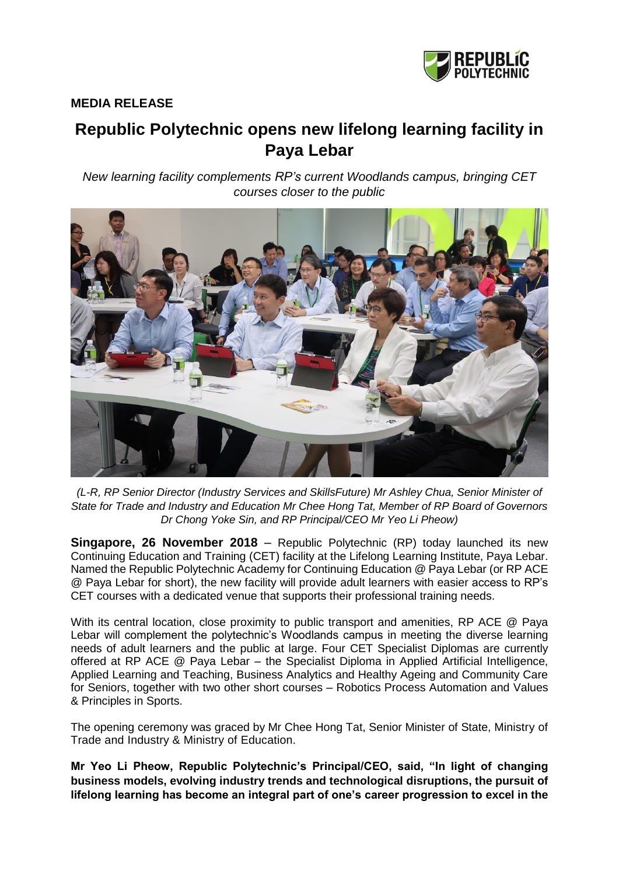

## **MEDIA RELEASE**

# **Republic Polytechnic opens new lifelong learning facility in Paya Lebar**

*New learning facility complements RP's current Woodlands campus, bringing CET courses closer to the public*



*(L-R, RP Senior Director (Industry Services and SkillsFuture) Mr Ashley Chua, Senior Minister of State for Trade and Industry and Education Mr Chee Hong Tat, Member of RP Board of Governors Dr Chong Yoke Sin, and RP Principal/CEO Mr Yeo Li Pheow)*

**Singapore, 26 November 2018** – Republic Polytechnic (RP) today launched its new Continuing Education and Training (CET) facility at the Lifelong Learning Institute, Paya Lebar. Named the Republic Polytechnic Academy for Continuing Education @ Paya Lebar (or RP ACE @ Paya Lebar for short), the new facility will provide adult learners with easier access to RP's CET courses with a dedicated venue that supports their professional training needs.

With its central location, close proximity to public transport and amenities, RP ACE @ Paya Lebar will complement the polytechnic's Woodlands campus in meeting the diverse learning needs of adult learners and the public at large. Four CET Specialist Diplomas are currently offered at RP ACE @ Paya Lebar – the Specialist Diploma in Applied Artificial Intelligence, Applied Learning and Teaching, Business Analytics and Healthy Ageing and Community Care for Seniors, together with two other short courses – Robotics Process Automation and Values & Principles in Sports.

The opening ceremony was graced by Mr Chee Hong Tat, Senior Minister of State, Ministry of Trade and Industry & Ministry of Education.

**Mr Yeo Li Pheow, Republic Polytechnic's Principal/CEO, said, "In light of changing business models, evolving industry trends and technological disruptions, the pursuit of lifelong learning has become an integral part of one's career progression to excel in the**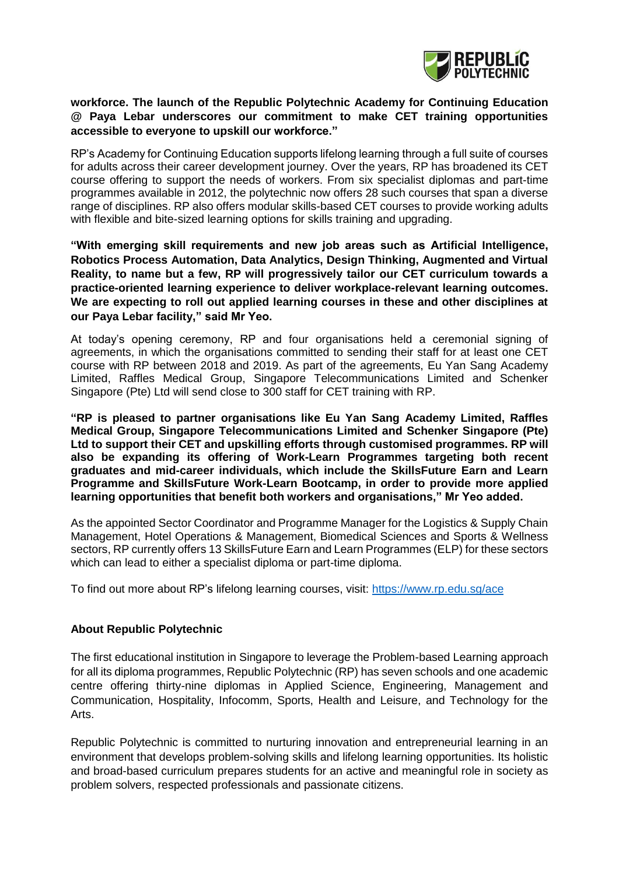

#### **workforce. The launch of the Republic Polytechnic Academy for Continuing Education @ Paya Lebar underscores our commitment to make CET training opportunities accessible to everyone to upskill our workforce."**

RP's Academy for Continuing Education supports lifelong learning through a full suite of courses for adults across their career development journey. Over the years, RP has broadened its CET course offering to support the needs of workers. From six specialist diplomas and part-time programmes available in 2012, the polytechnic now offers 28 such courses that span a diverse range of disciplines. RP also offers modular skills-based CET courses to provide working adults with flexible and bite-sized learning options for skills training and upgrading.

**"With emerging skill requirements and new job areas such as Artificial Intelligence, Robotics Process Automation, Data Analytics, Design Thinking, Augmented and Virtual Reality, to name but a few, RP will progressively tailor our CET curriculum towards a practice-oriented learning experience to deliver workplace-relevant learning outcomes. We are expecting to roll out applied learning courses in these and other disciplines at our Paya Lebar facility," said Mr Yeo.** 

At today's opening ceremony, RP and four organisations held a ceremonial signing of agreements, in which the organisations committed to sending their staff for at least one CET course with RP between 2018 and 2019. As part of the agreements, Eu Yan Sang Academy Limited, Raffles Medical Group, Singapore Telecommunications Limited and Schenker Singapore (Pte) Ltd will send close to 300 staff for CET training with RP.

**"RP is pleased to partner organisations like Eu Yan Sang Academy Limited, Raffles Medical Group, Singapore Telecommunications Limited and Schenker Singapore (Pte) Ltd to support their CET and upskilling efforts through customised programmes. RP will also be expanding its offering of Work-Learn Programmes targeting both recent graduates and mid-career individuals, which include the SkillsFuture Earn and Learn Programme and SkillsFuture Work-Learn Bootcamp, in order to provide more applied learning opportunities that benefit both workers and organisations," Mr Yeo added.** 

As the appointed Sector Coordinator and Programme Manager for the Logistics & Supply Chain Management, Hotel Operations & Management, Biomedical Sciences and Sports & Wellness sectors, RP currently offers 13 SkillsFuture Earn and Learn Programmes (ELP) for these sectors which can lead to either a specialist diploma or part-time diploma.

To find out more about RP's lifelong learning courses, visit:<https://www.rp.edu.sg/ace>

#### **About Republic Polytechnic**

The first educational institution in Singapore to leverage the Problem-based Learning approach for all its diploma programmes, Republic Polytechnic (RP) has seven schools and one academic centre offering thirty-nine diplomas in Applied Science, Engineering, Management and Communication, Hospitality, Infocomm, Sports, Health and Leisure, and Technology for the Arts.

Republic Polytechnic is committed to nurturing innovation and entrepreneurial learning in an environment that develops problem-solving skills and lifelong learning opportunities. Its holistic and broad-based curriculum prepares students for an active and meaningful role in society as problem solvers, respected professionals and passionate citizens.